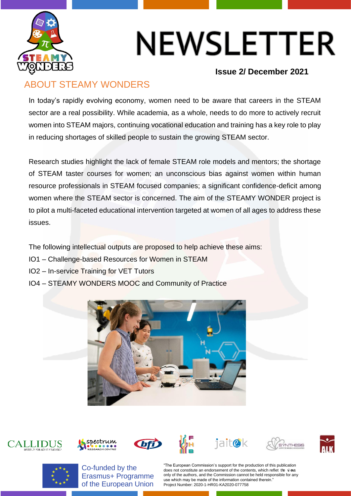

# NEWSLETTER

#### **Issue 2/ December 2021**

### ABOUT STEAMY WONDERS

In today's rapidly evolving economy, women need to be aware that careers in the STEAM sector are a real possibility. While academia, as a whole, needs to do more to actively recruit women into STEAM majors, continuing vocational education and training has a key role to play in reducing shortages of skilled people to sustain the growing STEAM sector.

Research studies highlight the lack of female STEAM role models and mentors; the shortage of STEAM taster courses for women; an unconscious bias against women within human resource professionals in STEAM focused companies; a significant confidence-deficit among women where the STEAM sector is concerned. The aim of the STEAMY WONDER project is to pilot a multi-faceted educational intervention targeted at women of all ages to address these issues.

The following intellectual outputs are proposed to help achieve these aims:

- IO1 Challenge-based Resources for Women in STEAM
- IO2 In-service Training for VET Tutors
- IO4 STEAMY WONDERS MOOC and Community of Practice

















Co-funded by the Erasmus+ Programme of the European Union

"The European Commission's support for the production of this publication does not constitute an endorsement of the contents, which reflet the vi ews only of the authors, and the Commission cannot be held responsible for any use which may be made of the information contained therein. Project Number: 2020-1-HR01-KA2020-077758

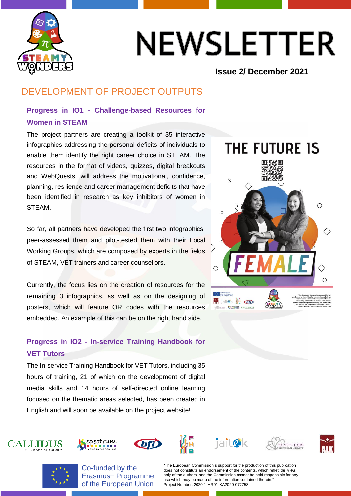

# NEWSLETTER

#### **Issue 2/ December 2021**

## DEVELOPMENT OF PROJECT OUTPUTS

#### **Progress in IO1 - Challenge-based Resources for Women in STEAM**

The project partners are creating a toolkit of 35 interactive infographics addressing the personal deficits of individuals to enable them identify the right career choice in STEAM. The resources in the format of videos, quizzes, digital breakouts and WebQuests, will address the motivational, confidence, planning, resilience and career management deficits that have been identified in research as key inhibitors of women in STEAM.

So far, all partners have developed the first two infographics, peer-assessed them and pilot-tested them with their Local Working Groups, which are composed by experts in the fields of STEAM, VET trainers and career counsellors.

Currently, the focus lies on the creation of resources for the remaining 3 infographics, as well as on the designing of posters, which will feature QR codes with the resources embedded. An example of this can be on the right hand side.

### **Progress in IO2 - In-service Training Handbook for VET Tutors**

The In-service Training Handbook for VET Tutors, including 35 hours of training, 21 of which on the development of digital media skills and 14 hours of self-directed online learning focused on the thematic areas selected, has been created in English and will soon be available on the project website!











**Aspectrum** CALLIDUS







**CALLIDUS** 

Co-funded by the Erasmus+ Programme of the European Union

"The European Commission's support for the production of this publication does not constitute an endorsement of the contents, which reflet the vi ews only of the authors, and the Commission cannot be held responsible for any use which may be made of the information contained therein. Project Number: 2020-1-HR01-KA2020-077758